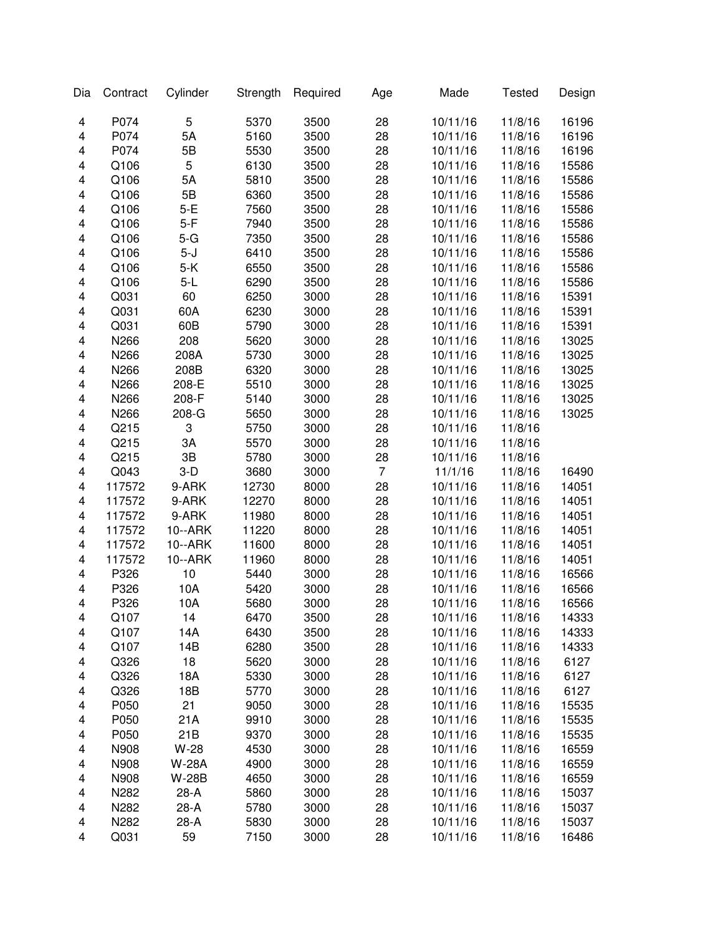| Dia | Contract | Cylinder     | Strength | Required     | Age            | Made     | <b>Tested</b> | Design |
|-----|----------|--------------|----------|--------------|----------------|----------|---------------|--------|
| 4   | P074     | 5            | 5370     | 3500         | 28             | 10/11/16 | 11/8/16       | 16196  |
| 4   | P074     | 5A           | 5160     | 3500         | 28             | 10/11/16 | 11/8/16       | 16196  |
| 4   | P074     | 5B           | 5530     | 3500         | 28             | 10/11/16 | 11/8/16       | 16196  |
| 4   | Q106     | 5            | 6130     | 3500         | 28             | 10/11/16 | 11/8/16       | 15586  |
| 4   | Q106     | 5A           | 5810     | 3500         | 28             | 10/11/16 | 11/8/16       | 15586  |
| 4   | Q106     | 5B           | 6360     | 3500         | 28             | 10/11/16 | 11/8/16       | 15586  |
| 4   | Q106     | $5-E$        | 7560     | 3500         | 28             | 10/11/16 | 11/8/16       | 15586  |
| 4   | Q106     | $5-F$        | 7940     | 3500         | 28             | 10/11/16 | 11/8/16       | 15586  |
| 4   | Q106     | $5-G$        | 7350     | 3500         | 28             | 10/11/16 | 11/8/16       | 15586  |
| 4   | Q106     | $5-J$        | 6410     | 3500         | 28             | 10/11/16 | 11/8/16       | 15586  |
| 4   | Q106     | $5-K$        | 6550     | 3500         | 28             | 10/11/16 | 11/8/16       | 15586  |
| 4   | Q106     | $5-L$        | 6290     | 3500         | 28             | 10/11/16 | 11/8/16       | 15586  |
| 4   | Q031     | 60           | 6250     | 3000         | 28             | 10/11/16 | 11/8/16       | 15391  |
| 4   | Q031     | 60A          | 6230     | 3000         | 28             | 10/11/16 | 11/8/16       | 15391  |
| 4   | Q031     | 60B          | 5790     | 3000         | 28             | 10/11/16 | 11/8/16       | 15391  |
| 4   | N266     | 208          | 5620     | 3000         | 28             | 10/11/16 | 11/8/16       | 13025  |
| 4   | N266     | 208A         | 5730     | 3000         | 28             | 10/11/16 | 11/8/16       | 13025  |
| 4   | N266     | 208B         | 6320     | 3000         | 28             | 10/11/16 | 11/8/16       | 13025  |
| 4   | N266     | 208-E        | 5510     | 3000         | 28             | 10/11/16 | 11/8/16       | 13025  |
| 4   | N266     | 208-F        | 5140     | 3000         | 28             | 10/11/16 | 11/8/16       | 13025  |
| 4   | N266     | 208-G        | 5650     | 3000         | 28             | 10/11/16 | 11/8/16       | 13025  |
| 4   | Q215     | 3            | 5750     | 3000         | 28             | 10/11/16 | 11/8/16       |        |
| 4   | Q215     | 3A           | 5570     | 3000         | 28             | 10/11/16 | 11/8/16       |        |
| 4   | Q215     | 3B           | 5780     | 3000         | 28             | 10/11/16 | 11/8/16       |        |
| 4   | Q043     | $3-D$        | 3680     | 3000         | $\overline{7}$ | 11/1/16  | 11/8/16       | 16490  |
| 4   | 117572   | 9-ARK        | 12730    | 8000         | 28             | 10/11/16 | 11/8/16       | 14051  |
| 4   | 117572   | 9-ARK        | 12270    | 8000         | 28             | 10/11/16 | 11/8/16       | 14051  |
| 4   | 117572   | 9-ARK        | 11980    | 8000         | 28             | 10/11/16 | 11/8/16       | 14051  |
| 4   | 117572   | 10--ARK      | 11220    | 8000         | 28             | 10/11/16 | 11/8/16       | 14051  |
| 4   | 117572   | 10--ARK      | 11600    | 8000         | 28             | 10/11/16 | 11/8/16       | 14051  |
| 4   | 117572   | 10--ARK      | 11960    | 8000         | 28             | 10/11/16 | 11/8/16       | 14051  |
| 4   | P326     | 10           | 5440     | 3000         | 28             | 10/11/16 | 11/8/16       | 16566  |
| 4   | P326     | 10A          | 5420     | 3000         | 28             | 10/11/16 | 11/8/16       | 16566  |
| 4   | P326     | 10A          | 5680     | 3000         | 28             | 10/11/16 | 11/8/16       | 16566  |
|     | Q107     | 14           | 6470     | 3500         | 28             | 10/11/16 | 11/8/16       | 14333  |
| 4   | Q107     | 14A          | 6430     |              | 28             | 10/11/16 | 11/8/16       |        |
| 4   | Q107     | 14B          | 6280     | 3500<br>3500 | 28             | 10/11/16 |               | 14333  |
| 4   |          |              |          |              |                |          | 11/8/16       | 14333  |
| 4   | Q326     | 18           | 5620     | 3000         | 28             | 10/11/16 | 11/8/16       | 6127   |
| 4   | Q326     | 18A          | 5330     | 3000         | 28             | 10/11/16 | 11/8/16       | 6127   |
| 4   | Q326     | 18B          | 5770     | 3000         | 28             | 10/11/16 | 11/8/16       | 6127   |
| 4   | P050     | 21           | 9050     | 3000         | 28             | 10/11/16 | 11/8/16       | 15535  |
| 4   | P050     | 21A          | 9910     | 3000         | 28             | 10/11/16 | 11/8/16       | 15535  |
| 4   | P050     | 21B          | 9370     | 3000         | 28             | 10/11/16 | 11/8/16       | 15535  |
| 4   | N908     | W-28         | 4530     | 3000         | 28             | 10/11/16 | 11/8/16       | 16559  |
| 4   | N908     | <b>W-28A</b> | 4900     | 3000         | 28             | 10/11/16 | 11/8/16       | 16559  |
| 4   | N908     | <b>W-28B</b> | 4650     | 3000         | 28             | 10/11/16 | 11/8/16       | 16559  |
| 4   | N282     | 28-A         | 5860     | 3000         | 28             | 10/11/16 | 11/8/16       | 15037  |
| 4   | N282     | 28-A         | 5780     | 3000         | 28             | 10/11/16 | 11/8/16       | 15037  |
| 4   | N282     | 28-A         | 5830     | 3000         | 28             | 10/11/16 | 11/8/16       | 15037  |
| 4   | Q031     | 59           | 7150     | 3000         | 28             | 10/11/16 | 11/8/16       | 16486  |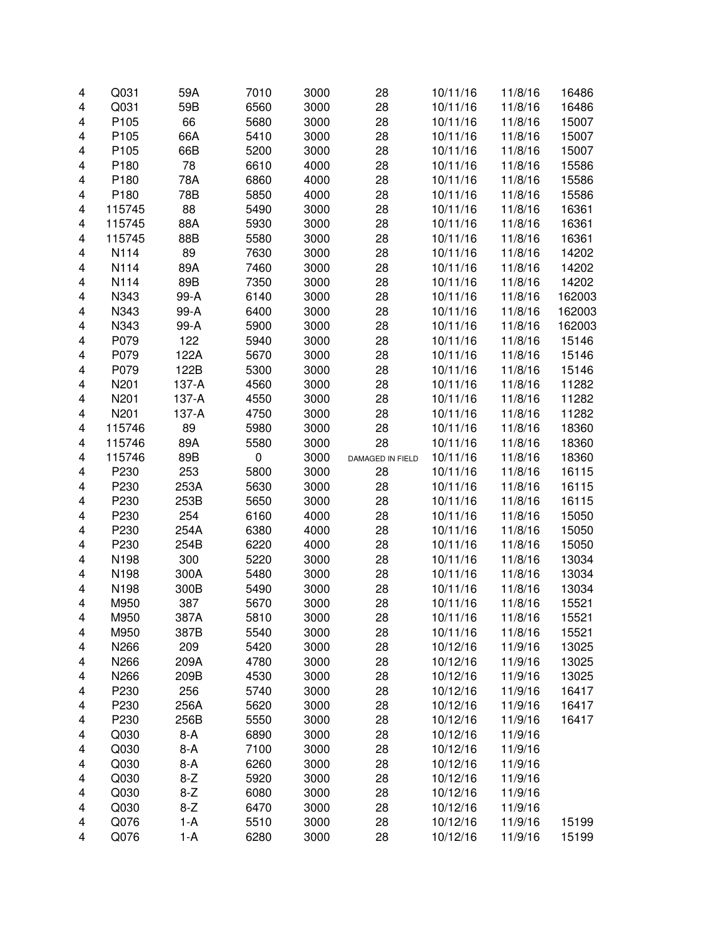| 4                       | Q031             | 59A          | 7010             | 3000         | 28               | 10/11/16 | 11/8/16            | 16486          |
|-------------------------|------------------|--------------|------------------|--------------|------------------|----------|--------------------|----------------|
| 4                       | Q031             | 59B          | 6560             | 3000         | 28               | 10/11/16 | 11/8/16            | 16486          |
| 4                       | P105             | 66           | 5680             | 3000         | 28               | 10/11/16 | 11/8/16            | 15007          |
| 4                       | P <sub>105</sub> | 66A          | 5410             | 3000         | 28               | 10/11/16 | 11/8/16            | 15007          |
| 4                       | P <sub>105</sub> | 66B          | 5200             | 3000         | 28               | 10/11/16 | 11/8/16            | 15007          |
| 4                       | P <sub>180</sub> | 78           | 6610             | 4000         | 28               | 10/11/16 | 11/8/16            | 15586          |
| 4                       | P <sub>180</sub> | 78A          | 6860             | 4000         | 28               | 10/11/16 | 11/8/16            | 15586          |
|                         |                  |              |                  |              |                  |          |                    |                |
| 4                       | P180             | 78B          | 5850             | 4000         | 28               | 10/11/16 | 11/8/16            | 15586          |
| 4                       | 115745           | 88           | 5490             | 3000         | 28               | 10/11/16 | 11/8/16            | 16361          |
| 4                       | 115745           | 88A          | 5930             | 3000         | 28               | 10/11/16 | 11/8/16            | 16361          |
| 4                       | 115745           | 88B          | 5580             | 3000         | 28               | 10/11/16 | 11/8/16            | 16361          |
| 4                       | N114             | 89           | 7630             | 3000         | 28               | 10/11/16 | 11/8/16            | 14202          |
| 4                       | N114             | 89A          | 7460             | 3000         | 28               | 10/11/16 | 11/8/16            | 14202          |
| 4                       | N114             | 89B          | 7350             | 3000         | 28               | 10/11/16 | 11/8/16            | 14202          |
| 4                       | N343             | 99-A         | 6140             | 3000         | 28               | 10/11/16 | 11/8/16            | 162003         |
| 4                       | N343             | 99-A         | 6400             | 3000         | 28               | 10/11/16 | 11/8/16            | 162003         |
| 4                       | N343             | 99-A         | 5900             | 3000         | 28               | 10/11/16 | 11/8/16            | 162003         |
| 4                       | P079             | 122          | 5940             | 3000         | 28               | 10/11/16 | 11/8/16            | 15146          |
| 4                       | P079             | 122A         | 5670             | 3000         | 28               | 10/11/16 | 11/8/16            | 15146          |
| 4                       | P079             | 122B         | 5300             | 3000         | 28               | 10/11/16 | 11/8/16            | 15146          |
| 4                       | N201             | 137-A        | 4560             | 3000         | 28               | 10/11/16 | 11/8/16            | 11282          |
|                         | N201             | 137-A        | 4550             |              |                  |          |                    |                |
| 4                       |                  |              |                  | 3000         | 28               | 10/11/16 | 11/8/16            | 11282          |
| 4                       | N201             | 137-A        | 4750             | 3000         | 28               | 10/11/16 | 11/8/16            | 11282          |
| 4                       | 115746           | 89           | 5980             | 3000         | 28               | 10/11/16 | 11/8/16            | 18360          |
| 4                       | 115746           | 89A          | 5580             | 3000         | 28               | 10/11/16 | 11/8/16            | 18360          |
| 4                       | 115746           | 89B          | $\boldsymbol{0}$ | 3000         | DAMAGED IN FIELD | 10/11/16 | 11/8/16            | 18360          |
| 4                       | P230             | 253          | 5800             | 3000         | 28               | 10/11/16 | 11/8/16            | 16115          |
| 4                       | P230             | 253A         | 5630             | 3000         | 28               | 10/11/16 | 11/8/16            | 16115          |
| 4                       | P230             | 253B         | 5650             | 3000         | 28               | 10/11/16 | 11/8/16            | 16115          |
| 4                       | P230             | 254          | 6160             | 4000         | 28               | 10/11/16 | 11/8/16            | 15050          |
| 4                       | P230             | 254A         | 6380             | 4000         | 28               | 10/11/16 | 11/8/16            | 15050          |
| 4                       | P230             | 254B         | 6220             | 4000         | 28               | 10/11/16 | 11/8/16            | 15050          |
| 4                       | N198             | 300          | 5220             | 3000         | 28               | 10/11/16 | 11/8/16            | 13034          |
| 4                       | N198             | 300A         | 5480             | 3000         | 28               | 10/11/16 | 11/8/16            | 13034          |
| 4                       | N198             | 300B         | 5490             | 3000         | 28               | 10/11/16 | 11/8/16            | 13034          |
| 4                       | M950             | 387          | 5670             | 3000         | 28               | 10/11/16 | 11/8/16            | 15521          |
| 4                       |                  |              |                  |              |                  | 10/11/16 |                    |                |
| 4                       | M950<br>M950     | 387A<br>387B | 5810<br>5540     | 3000<br>3000 | 28<br>28         | 10/11/16 | 11/8/16<br>11/8/16 | 15521<br>15521 |
|                         |                  |              |                  |              |                  |          |                    |                |
| 4                       | N266             | 209          | 5420             | 3000         | 28               | 10/12/16 | 11/9/16            | 13025          |
| 4                       | N266             | 209A         | 4780             | 3000         | 28               | 10/12/16 | 11/9/16            | 13025          |
| 4                       | N266             | 209B         | 4530             | 3000         | 28               | 10/12/16 | 11/9/16            | 13025          |
| 4                       | P230             | 256          | 5740             | 3000         | 28               | 10/12/16 | 11/9/16            | 16417          |
| 4                       | P230             | 256A         | 5620             | 3000         | 28               | 10/12/16 | 11/9/16            | 16417          |
| 4                       | P230             | 256B         | 5550             | 3000         | 28               | 10/12/16 | 11/9/16            | 16417          |
| 4                       | Q030             | $8-A$        | 6890             | 3000         | 28               | 10/12/16 | 11/9/16            |                |
| 4                       | Q030             | $8-A$        | 7100             | 3000         | 28               | 10/12/16 | 11/9/16            |                |
| 4                       | Q030             | $8-A$        | 6260             | 3000         | 28               | 10/12/16 | 11/9/16            |                |
| 4                       | Q030             | $8-Z$        | 5920             | 3000         | 28               | 10/12/16 | 11/9/16            |                |
| 4                       | Q030             | $8-Z$        | 6080             | 3000         | 28               | 10/12/16 | 11/9/16            |                |
| 4                       | Q030             | $8-Z$        | 6470             | 3000         | 28               | 10/12/16 | 11/9/16            |                |
| 4                       | Q076             | $1-A$        | 5510             | 3000         | 28               | 10/12/16 | 11/9/16            | 15199          |
| $\overline{\mathbf{4}}$ | Q076             | $1-A$        | 6280             | 3000         | 28               | 10/12/16 | 11/9/16            | 15199          |
|                         |                  |              |                  |              |                  |          |                    |                |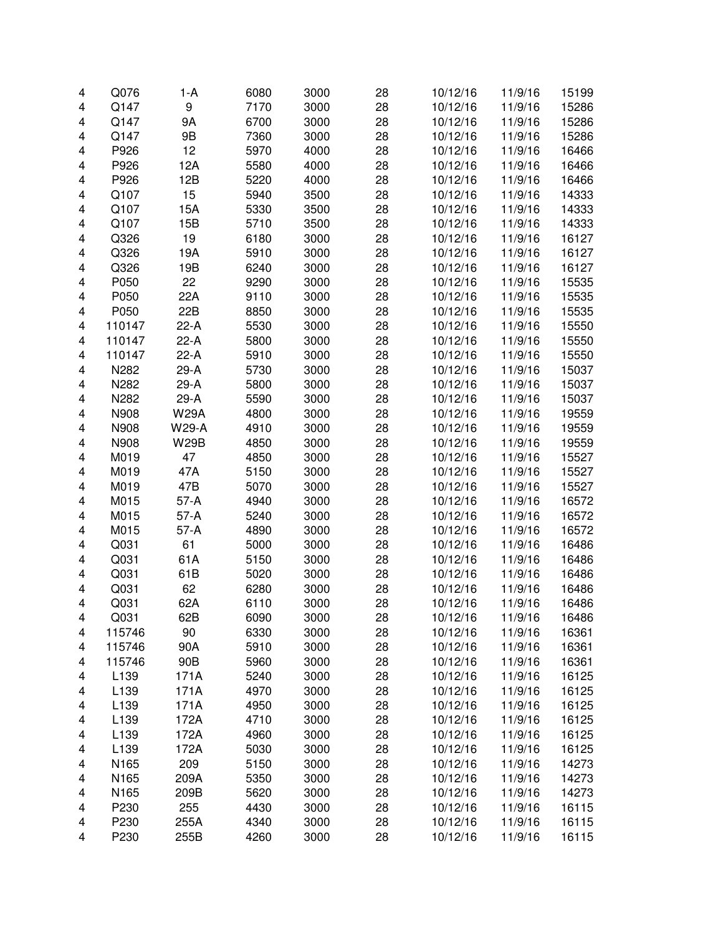| 4 | Q076   | $1-A$        | 6080 | 3000 | 28 | 10/12/16 | 11/9/16 | 15199 |
|---|--------|--------------|------|------|----|----------|---------|-------|
| 4 | Q147   | 9            | 7170 | 3000 | 28 | 10/12/16 | 11/9/16 | 15286 |
| 4 | Q147   | 9Α           | 6700 | 3000 | 28 | 10/12/16 | 11/9/16 | 15286 |
| 4 | Q147   | 9B           | 7360 | 3000 | 28 | 10/12/16 | 11/9/16 | 15286 |
| 4 | P926   | 12           | 5970 | 4000 | 28 | 10/12/16 | 11/9/16 | 16466 |
| 4 | P926   | 12A          | 5580 | 4000 | 28 | 10/12/16 | 11/9/16 | 16466 |
|   | P926   | 12B          | 5220 | 4000 | 28 | 10/12/16 | 11/9/16 | 16466 |
| 4 |        |              |      |      |    |          |         |       |
| 4 | Q107   | 15           | 5940 | 3500 | 28 | 10/12/16 | 11/9/16 | 14333 |
| 4 | Q107   | 15A          | 5330 | 3500 | 28 | 10/12/16 | 11/9/16 | 14333 |
| 4 | Q107   | 15B          | 5710 | 3500 | 28 | 10/12/16 | 11/9/16 | 14333 |
| 4 | Q326   | 19           | 6180 | 3000 | 28 | 10/12/16 | 11/9/16 | 16127 |
| 4 | Q326   | 19A          | 5910 | 3000 | 28 | 10/12/16 | 11/9/16 | 16127 |
| 4 | Q326   | 19B          | 6240 | 3000 | 28 | 10/12/16 | 11/9/16 | 16127 |
| 4 | P050   | 22           | 9290 | 3000 | 28 | 10/12/16 | 11/9/16 | 15535 |
| 4 | P050   | 22A          | 9110 | 3000 | 28 | 10/12/16 | 11/9/16 | 15535 |
| 4 | P050   | 22B          | 8850 | 3000 | 28 | 10/12/16 | 11/9/16 | 15535 |
| 4 | 110147 | $22-A$       | 5530 | 3000 | 28 | 10/12/16 | 11/9/16 | 15550 |
| 4 | 110147 | $22-A$       | 5800 | 3000 | 28 | 10/12/16 | 11/9/16 | 15550 |
| 4 | 110147 | $22-A$       | 5910 | 3000 | 28 | 10/12/16 | 11/9/16 | 15550 |
| 4 | N282   | $29-A$       | 5730 | 3000 | 28 | 10/12/16 | 11/9/16 | 15037 |
| 4 | N282   | $29-A$       | 5800 | 3000 | 28 | 10/12/16 | 11/9/16 | 15037 |
| 4 | N282   | $29-A$       | 5590 | 3000 | 28 | 10/12/16 | 11/9/16 | 15037 |
|   | N908   | <b>W29A</b>  | 4800 | 3000 | 28 | 10/12/16 | 11/9/16 |       |
| 4 |        |              |      |      |    |          |         | 19559 |
| 4 | N908   | <b>W29-A</b> | 4910 | 3000 | 28 | 10/12/16 | 11/9/16 | 19559 |
| 4 | N908   | <b>W29B</b>  | 4850 | 3000 | 28 | 10/12/16 | 11/9/16 | 19559 |
| 4 | M019   | 47           | 4850 | 3000 | 28 | 10/12/16 | 11/9/16 | 15527 |
| 4 | M019   | 47A          | 5150 | 3000 | 28 | 10/12/16 | 11/9/16 | 15527 |
| 4 | M019   | 47B          | 5070 | 3000 | 28 | 10/12/16 | 11/9/16 | 15527 |
| 4 | M015   | $57-A$       | 4940 | 3000 | 28 | 10/12/16 | 11/9/16 | 16572 |
| 4 | M015   | $57-A$       | 5240 | 3000 | 28 | 10/12/16 | 11/9/16 | 16572 |
| 4 | M015   | $57-A$       | 4890 | 3000 | 28 | 10/12/16 | 11/9/16 | 16572 |
| 4 | Q031   | 61           | 5000 | 3000 | 28 | 10/12/16 | 11/9/16 | 16486 |
| 4 | Q031   | 61A          | 5150 | 3000 | 28 | 10/12/16 | 11/9/16 | 16486 |
| 4 | Q031   | 61B          | 5020 | 3000 | 28 | 10/12/16 | 11/9/16 | 16486 |
| 4 | Q031   | 62           | 6280 | 3000 | 28 | 10/12/16 | 11/9/16 | 16486 |
| 4 | Q031   | 62A          | 6110 | 3000 | 28 | 10/12/16 | 11/9/16 | 16486 |
| 4 | Q031   | 62B          | 6090 | 3000 | 28 | 10/12/16 | 11/9/16 | 16486 |
| 4 | 115746 | 90           | 6330 | 3000 | 28 | 10/12/16 | 11/9/16 | 16361 |
| 4 | 115746 | 90A          | 5910 | 3000 | 28 | 10/12/16 | 11/9/16 | 16361 |
|   | 115746 | 90B          |      | 3000 | 28 | 10/12/16 | 11/9/16 | 16361 |
| 4 |        |              | 5960 |      |    |          |         |       |
| 4 | L139   | 171A         | 5240 | 3000 | 28 | 10/12/16 | 11/9/16 | 16125 |
| 4 | L139   | 171A         | 4970 | 3000 | 28 | 10/12/16 | 11/9/16 | 16125 |
| 4 | L139   | 171A         | 4950 | 3000 | 28 | 10/12/16 | 11/9/16 | 16125 |
| 4 | L139   | 172A         | 4710 | 3000 | 28 | 10/12/16 | 11/9/16 | 16125 |
| 4 | L139   | 172A         | 4960 | 3000 | 28 | 10/12/16 | 11/9/16 | 16125 |
| 4 | L139   | 172A         | 5030 | 3000 | 28 | 10/12/16 | 11/9/16 | 16125 |
| 4 | N165   | 209          | 5150 | 3000 | 28 | 10/12/16 | 11/9/16 | 14273 |
| 4 | N165   | 209A         | 5350 | 3000 | 28 | 10/12/16 | 11/9/16 | 14273 |
| 4 | N165   | 209B         | 5620 | 3000 | 28 | 10/12/16 | 11/9/16 | 14273 |
| 4 | P230   | 255          | 4430 | 3000 | 28 | 10/12/16 | 11/9/16 | 16115 |
| 4 | P230   | 255A         | 4340 | 3000 | 28 | 10/12/16 | 11/9/16 | 16115 |
| 4 | P230   | 255B         | 4260 | 3000 | 28 | 10/12/16 | 11/9/16 | 16115 |
|   |        |              |      |      |    |          |         |       |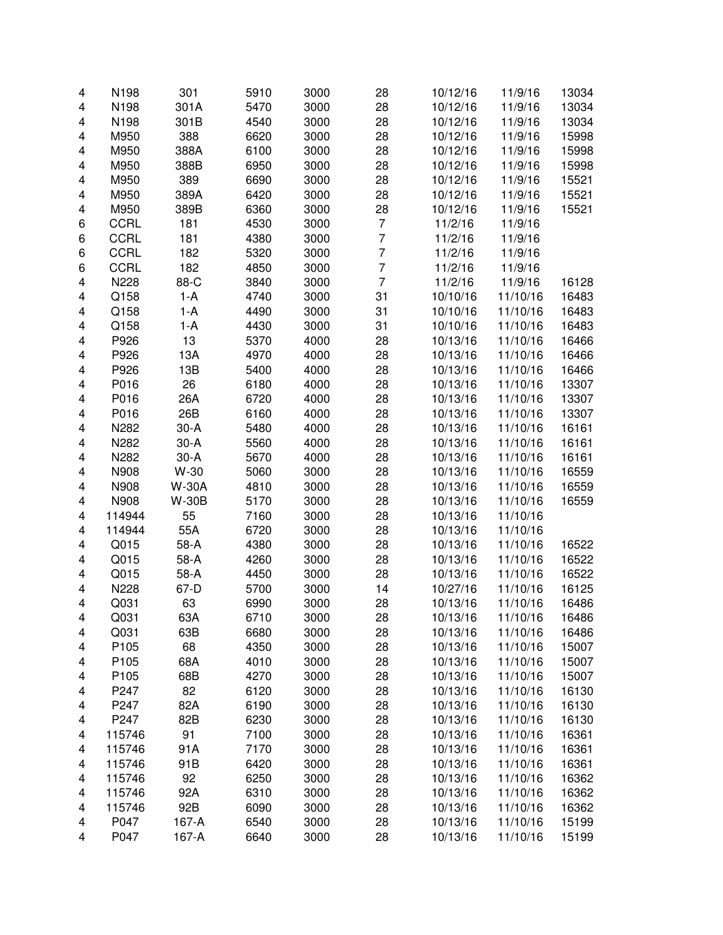| 4                       | N198             | 301          | 5910 | 3000 | 28             | 10/12/16 | 11/9/16  | 13034 |
|-------------------------|------------------|--------------|------|------|----------------|----------|----------|-------|
| 4                       | N198             | 301A         | 5470 | 3000 | 28             | 10/12/16 | 11/9/16  | 13034 |
| 4                       | N198             | 301B         | 4540 | 3000 | 28             | 10/12/16 | 11/9/16  | 13034 |
| 4                       | M950             | 388          | 6620 | 3000 | 28             | 10/12/16 | 11/9/16  | 15998 |
| 4                       | M950             | 388A         | 6100 | 3000 | 28             | 10/12/16 | 11/9/16  | 15998 |
| 4                       | M950             | 388B         | 6950 | 3000 | 28             | 10/12/16 | 11/9/16  | 15998 |
| 4                       | M950             | 389          | 6690 | 3000 | 28             | 10/12/16 | 11/9/16  | 15521 |
|                         |                  | 389A         |      |      |                |          |          |       |
| 4                       | M950             |              | 6420 | 3000 | 28             | 10/12/16 | 11/9/16  | 15521 |
| 4                       | M950             | 389B         | 6360 | 3000 | 28             | 10/12/16 | 11/9/16  | 15521 |
| 6                       | <b>CCRL</b>      | 181          | 4530 | 3000 | $\overline{7}$ | 11/2/16  | 11/9/16  |       |
| 6                       | <b>CCRL</b>      | 181          | 4380 | 3000 | $\overline{7}$ | 11/2/16  | 11/9/16  |       |
| 6                       | <b>CCRL</b>      | 182          | 5320 | 3000 | $\overline{7}$ | 11/2/16  | 11/9/16  |       |
| 6                       | <b>CCRL</b>      | 182          | 4850 | 3000 | $\overline{7}$ | 11/2/16  | 11/9/16  |       |
| 4                       | N228             | 88-C         | 3840 | 3000 | $\overline{7}$ | 11/2/16  | 11/9/16  | 16128 |
| 4                       | Q158             | $1-A$        | 4740 | 3000 | 31             | 10/10/16 | 11/10/16 | 16483 |
| 4                       | Q158             | $1-A$        | 4490 | 3000 | 31             | 10/10/16 | 11/10/16 | 16483 |
| 4                       | Q158             | 1-A          | 4430 | 3000 | 31             | 10/10/16 | 11/10/16 | 16483 |
| 4                       | P926             | 13           | 5370 | 4000 | 28             | 10/13/16 | 11/10/16 | 16466 |
| 4                       | P926             | 13A          | 4970 | 4000 | 28             | 10/13/16 | 11/10/16 | 16466 |
| 4                       | P926             | 13B          | 5400 | 4000 | 28             | 10/13/16 | 11/10/16 | 16466 |
| 4                       | P016             | 26           | 6180 | 4000 | 28             | 10/13/16 | 11/10/16 | 13307 |
| 4                       | P016             | 26A          | 6720 | 4000 | 28             | 10/13/16 | 11/10/16 | 13307 |
| 4                       | P016             | 26B          | 6160 | 4000 | 28             | 10/13/16 | 11/10/16 | 13307 |
|                         |                  |              |      | 4000 |                |          |          |       |
| 4                       | N282             | $30-A$       | 5480 |      | 28             | 10/13/16 | 11/10/16 | 16161 |
| 4                       | N282             | $30-A$       | 5560 | 4000 | 28             | 10/13/16 | 11/10/16 | 16161 |
| 4                       | N282             | $30-A$       | 5670 | 4000 | 28             | 10/13/16 | 11/10/16 | 16161 |
| 4                       | N908             | W-30         | 5060 | 3000 | 28             | 10/13/16 | 11/10/16 | 16559 |
| 4                       | N908             | <b>W-30A</b> | 4810 | 3000 | 28             | 10/13/16 | 11/10/16 | 16559 |
| 4                       | N908             | <b>W-30B</b> | 5170 | 3000 | 28             | 10/13/16 | 11/10/16 | 16559 |
| $\overline{\mathbf{4}}$ | 114944           | 55           | 7160 | 3000 | 28             | 10/13/16 | 11/10/16 |       |
| 4                       | 114944           | 55A          | 6720 | 3000 | 28             | 10/13/16 | 11/10/16 |       |
| 4                       | Q015             | 58-A         | 4380 | 3000 | 28             | 10/13/16 | 11/10/16 | 16522 |
| $\overline{\mathbf{4}}$ | Q015             | 58-A         | 4260 | 3000 | 28             | 10/13/16 | 11/10/16 | 16522 |
| $\overline{\mathbf{4}}$ | Q015             | 58-A         | 4450 | 3000 | 28             | 10/13/16 | 11/10/16 | 16522 |
| 4                       | N228             | 67-D         | 5700 | 3000 | 14             | 10/27/16 | 11/10/16 | 16125 |
| 4                       | Q031             | 63           | 6990 | 3000 | 28             | 10/13/16 | 11/10/16 | 16486 |
| 4                       | Q031             | 63A          | 6710 | 3000 | 28             | 10/13/16 | 11/10/16 | 16486 |
| 4                       | Q031             | 63B          | 6680 | 3000 | 28             | 10/13/16 | 11/10/16 | 16486 |
| 4                       | P105             | 68           | 4350 | 3000 | 28             | 10/13/16 | 11/10/16 | 15007 |
| 4                       | P <sub>105</sub> | 68A          | 4010 | 3000 | 28             | 10/13/16 | 11/10/16 | 15007 |
|                         |                  |              |      |      |                |          |          |       |
| 4                       | P <sub>105</sub> | 68B          | 4270 | 3000 | 28             | 10/13/16 | 11/10/16 | 15007 |
| 4                       | P247             | 82           | 6120 | 3000 | 28             | 10/13/16 | 11/10/16 | 16130 |
| 4                       | P247             | 82A          | 6190 | 3000 | 28             | 10/13/16 | 11/10/16 | 16130 |
| 4                       | P247             | 82B          | 6230 | 3000 | 28             | 10/13/16 | 11/10/16 | 16130 |
| 4                       | 115746           | 91           | 7100 | 3000 | 28             | 10/13/16 | 11/10/16 | 16361 |
| 4                       | 115746           | 91A          | 7170 | 3000 | 28             | 10/13/16 | 11/10/16 | 16361 |
| 4                       | 115746           | 91B          | 6420 | 3000 | 28             | 10/13/16 | 11/10/16 | 16361 |
| 4                       | 115746           | 92           | 6250 | 3000 | 28             | 10/13/16 | 11/10/16 | 16362 |
| 4                       | 115746           | 92A          | 6310 | 3000 | 28             | 10/13/16 | 11/10/16 | 16362 |
| 4                       | 115746           | 92B          | 6090 | 3000 | 28             | 10/13/16 | 11/10/16 | 16362 |
| 4                       | P047             | 167-A        | 6540 | 3000 | 28             | 10/13/16 | 11/10/16 | 15199 |
| 4                       | P047             | 167-A        | 6640 | 3000 | 28             | 10/13/16 | 11/10/16 | 15199 |